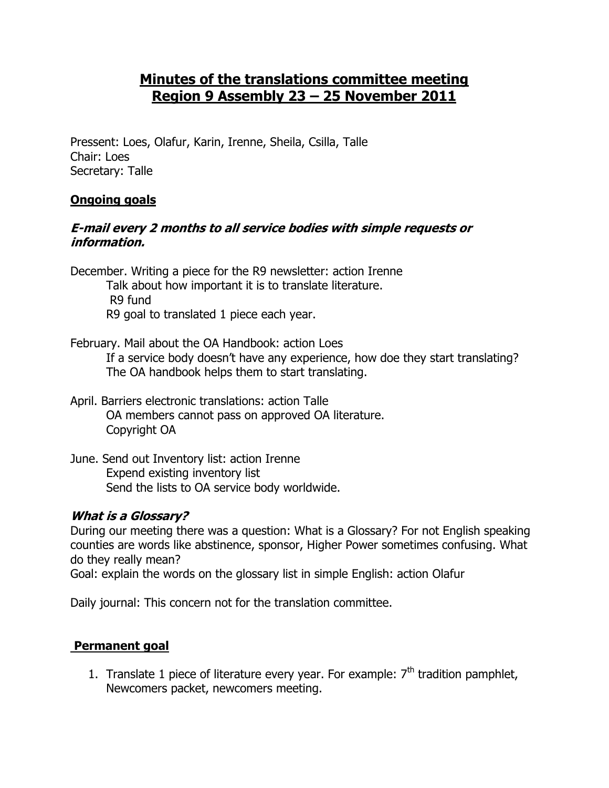# **Minutes of the translations committee meeting Region 9 Assembly 23 – 25 November 2011**

Pressent: Loes, Olafur, Karin, Irenne, Sheila, Csilla, Talle Chair: Loes Secretary: Talle

## **Ongoing goals**

#### **E-mail every 2 months to all service bodies with simple requests or information.**

December. Writing a piece for the R9 newsletter: action Irenne

- Talk about how important it is to translate literature. R9 fund R9 goal to translated 1 piece each year.
- February. Mail about the OA Handbook: action Loes If a service body doesn't have any experience, how doe they start translating?
	- The OA handbook helps them to start translating.
- April. Barriers electronic translations: action Talle OA members cannot pass on approved OA literature. Copyright OA
- June. Send out Inventory list: action Irenne Expend existing inventory list Send the lists to OA service body worldwide.

## **What is a Glossary?**

During our meeting there was a question: What is a Glossary? For not English speaking counties are words like abstinence, sponsor, Higher Power sometimes confusing. What do they really mean?

Goal: explain the words on the glossary list in simple English: action Olafur

Daily journal: This concern not for the translation committee.

## **Permanent goal**

1. Translate 1 piece of literature every year. For example:  $7<sup>th</sup>$  tradition pamphlet, Newcomers packet, newcomers meeting.